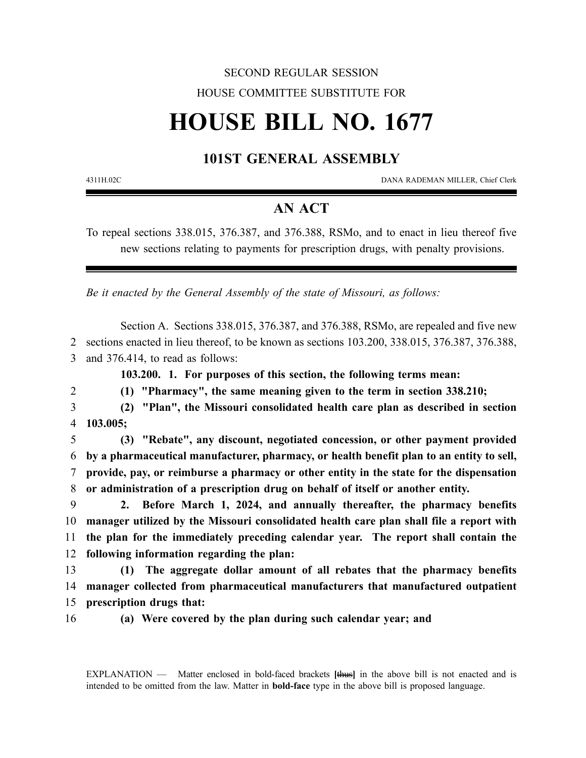## SECOND REGULAR SESSION HOUSE COMMITTEE SUBSTITUTE FOR

# **HOUSE BILL NO. 1677**

#### **101ST GENERAL ASSEMBLY**

4311H.02C DANA RADEMAN MILLER, Chief Clerk

### **AN ACT**

To repeal sections 338.015, 376.387, and 376.388, RSMo, and to enact in lieu thereof five new sections relating to payments for prescription drugs, with penalty provisions.

*Be it enacted by the General Assembly of the state of Missouri, as follows:*

Section A. Sections 338.015, 376.387, and 376.388, RSMo, are repealed and five new 2 sections enacted in lieu thereof, to be known as sections 103.200, 338.015, 376.387, 376.388, 3 and 376.414, to read as follows:

**103.200. 1. For purposes of this section, the following terms mean:**

2 **(1) "Pharmacy", the same meaning given to the term in section 338.210;**

3 **(2) "Plan", the Missouri consolidated health care plan as described in section** 4 **103.005;**

 **(3) "Rebate", any discount, negotiated concession, or other payment provided by a pharmaceutical manufacturer, pharmacy, or health benefit plan to an entity to sell, provide, pay, or reimburse a pharmacy or other entity in the state for the dispensation or administration of a prescription drug on behalf of itself or another entity.**

 **2. Before March 1, 2024, and annually thereafter, the pharmacy benefits manager utilized by the Missouri consolidated health care plan shall file a report with the plan for the immediately preceding calendar year. The report shall contain the following information regarding the plan:**

13 **(1) The aggregate dollar amount of all rebates that the pharmacy benefits** 14 **manager collected from pharmaceutical manufacturers that manufactured outpatient** 15 **prescription drugs that:**

16 **(a) Were covered by the plan during such calendar year; and**

EXPLANATION — Matter enclosed in bold-faced brackets **[**thus**]** in the above bill is not enacted and is intended to be omitted from the law. Matter in **bold-face** type in the above bill is proposed language.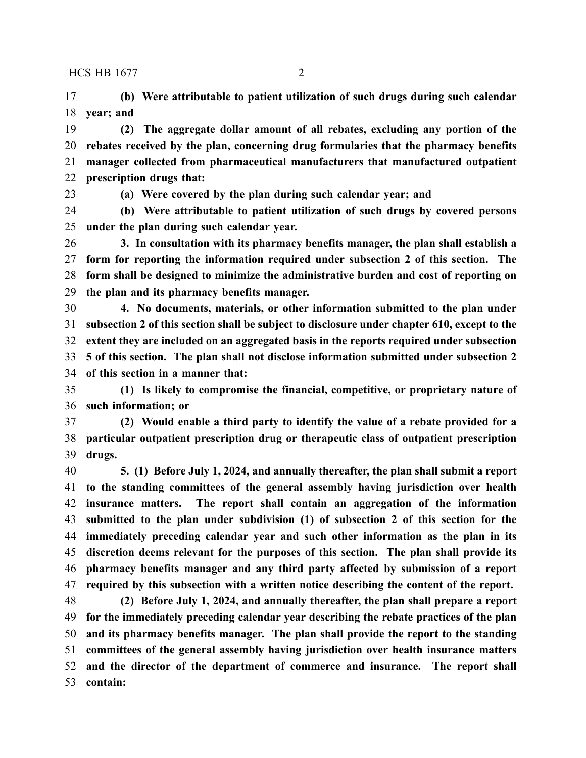**(b) Were attributable to patient utilization of such drugs during such calendar year; and**

 **(2) The aggregate dollar amount of all rebates, excluding any portion of the rebates received by the plan, concerning drug formularies that the pharmacy benefits manager collected from pharmaceutical manufacturers that manufactured outpatient prescription drugs that:**

**(a) Were covered by the plan during such calendar year; and**

 **(b) Were attributable to patient utilization of such drugs by covered persons under the plan during such calendar year.**

 **3. In consultation with its pharmacy benefits manager, the plan shall establish a form for reporting the information required under subsection 2 of this section. The form shall be designed to minimize the administrative burden and cost of reporting on the plan and its pharmacy benefits manager.**

 **4. No documents, materials, or other information submitted to the plan under subsection 2 of this section shall be subject to disclosure under chapter 610, except to the extent they are included on an aggregated basis in the reports required under subsection 5 of this section. The plan shall not disclose information submitted under subsection 2 of this section in a manner that:**

 **(1) Is likely to compromise the financial, competitive, or proprietary nature of such information; or**

 **(2) Would enable a third party to identify the value of a rebate provided for a particular outpatient prescription drug or therapeutic class of outpatient prescription drugs.**

 **5. (1) Before July 1, 2024, and annually thereafter, the plan shall submit a report to the standing committees of the general assembly having jurisdiction over health insurance matters. The report shall contain an aggregation of the information submitted to the plan under subdivision (1) of subsection 2 of this section for the immediately preceding calendar year and such other information as the plan in its discretion deems relevant for the purposes of this section. The plan shall provide its pharmacy benefits manager and any third party affected by submission of a report required by this subsection with a written notice describing the content of the report.**

 **(2) Before July 1, 2024, and annually thereafter, the plan shall prepare a report for the immediately preceding calendar year describing the rebate practices of the plan and its pharmacy benefits manager. The plan shall provide the report to the standing committees of the general assembly having jurisdiction over health insurance matters and the director of the department of commerce and insurance. The report shall contain:**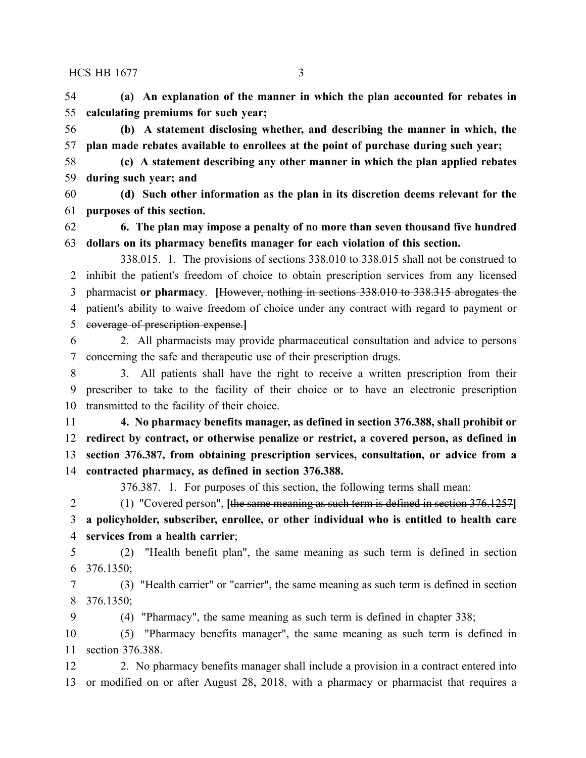**(a) An explanation of the manner in which the plan accounted for rebates in calculating premiums for such year;**

 **(b) A statement disclosing whether, and describing the manner in which, the plan made rebates available to enrollees at the point of purchase during such year;**

 **(c) A statement describing any other manner in which the plan applied rebates during such year; and**

 **(d) Such other information as the plan in its discretion deems relevant for the purposes of this section.**

 **6. The plan may impose a penalty of no more than seven thousand five hundred dollars on its pharmacy benefits manager for each violation of this section.**

338.015. 1. The provisions of sections 338.010 to 338.015 shall not be construed to inhibit the patient's freedom of choice to obtain prescription services from any licensed pharmacist **or pharmacy**. **[**However, nothing in sections 338.010 to 338.315 abrogates the patient's ability to waive freedom of choice under any contract with regard to payment or coverage of prescription expense.**]**

 2. All pharmacists may provide pharmaceutical consultation and advice to persons concerning the safe and therapeutic use of their prescription drugs.

 3. All patients shall have the right to receive a written prescription from their prescriber to take to the facility of their choice or to have an electronic prescription transmitted to the facility of their choice.

 **4. No pharmacy benefits manager, as defined in section 376.388, shall prohibit or redirect by contract, or otherwise penalize or restrict, a covered person, as defined in section 376.387, from obtaining prescription services, consultation, or advice from a contracted pharmacy, as defined in section 376.388.**

376.387. 1. For purposes of this section, the following terms shall mean:

 (1) "Covered person", **[**the same meaning as such term is defined in section 376.1257**] a policyholder, subscriber, enrollee, or other individual who is entitled to health care services from a health carrier**;

 (2) "Health benefit plan", the same meaning as such term is defined in section 376.1350;

 (3) "Health carrier" or "carrier", the same meaning as such term is defined in section 376.1350;

(4) "Pharmacy", the same meaning as such term is defined in chapter 338;

 (5) "Pharmacy benefits manager", the same meaning as such term is defined in section 376.388.

12 2. No pharmacy benefits manager shall include a provision in a contract entered into or modified on or after August 28, 2018, with a pharmacy or pharmacist that requires a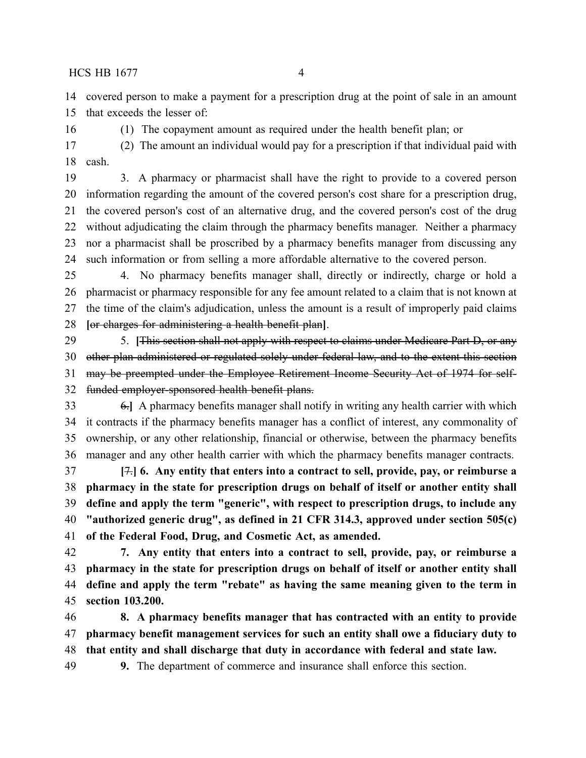covered person to make a payment for a prescription drug at the point of sale in an amount that exceeds the lesser of:

(1) The copayment amount as required under the health benefit plan; or

 (2) The amount an individual would pay for a prescription if that individual paid with cash.

 3. A pharmacy or pharmacist shall have the right to provide to a covered person information regarding the amount of the covered person's cost share for a prescription drug, the covered person's cost of an alternative drug, and the covered person's cost of the drug without adjudicating the claim through the pharmacy benefits manager. Neither a pharmacy nor a pharmacist shall be proscribed by a pharmacy benefits manager from discussing any such information or from selling a more affordable alternative to the covered person.

 4. No pharmacy benefits manager shall, directly or indirectly, charge or hold a pharmacist or pharmacy responsible for any fee amount related to a claim that is not known at the time of the claim's adjudication, unless the amount is a result of improperly paid claims **[**or charges for administering a health benefit plan**]**.

 5. **[**This section shall not apply with respect to claims under Medicare Part D, or any other plan administered or regulated solely under federal law, and to the extent this section may be preempted under the Employee Retirement Income Security Act of 1974 for self-funded employer-sponsored health benefit plans.

 6.**]** A pharmacy benefits manager shall notify in writing any health carrier with which it contracts if the pharmacy benefits manager has a conflict of interest, any commonality of ownership, or any other relationship, financial or otherwise, between the pharmacy benefits manager and any other health carrier with which the pharmacy benefits manager contracts.

 **[**7.**] 6. Any entity that enters into a contract to sell, provide, pay, or reimburse a pharmacy in the state for prescription drugs on behalf of itself or another entity shall define and apply the term "generic", with respect to prescription drugs, to include any "authorized generic drug", as defined in 21 CFR 314.3, approved under section 505(c) of the Federal Food, Drug, and Cosmetic Act, as amended.**

 **7. Any entity that enters into a contract to sell, provide, pay, or reimburse a pharmacy in the state for prescription drugs on behalf of itself or another entity shall define and apply the term "rebate" as having the same meaning given to the term in section 103.200.**

 **8. A pharmacy benefits manager that has contracted with an entity to provide pharmacy benefit management services for such an entity shall owe a fiduciary duty to that entity and shall discharge that duty in accordance with federal and state law.**

**9.** The department of commerce and insurance shall enforce this section.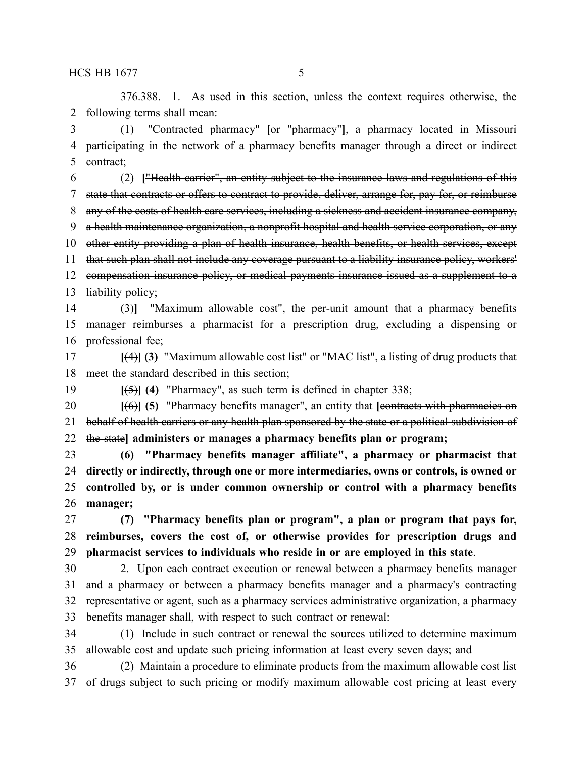376.388. 1. As used in this section, unless the context requires otherwise, the following terms shall mean:

 (1) "Contracted pharmacy" **[**or "pharmacy"**]**, a pharmacy located in Missouri participating in the network of a pharmacy benefits manager through a direct or indirect contract;

 (2) **[**"Health carrier", an entity subject to the insurance laws and regulations of this state that contracts or offers to contract to provide, deliver, arrange for, pay for, or reimburse any of the costs of health care services, including a sickness and accident insurance company, a health maintenance organization, a nonprofit hospital and health service corporation, or any 10 other entity providing a plan of health insurance, health benefits, or health services, except that such plan shall not include any coverage pursuant to a liability insurance policy, workers' compensation insurance policy, or medical payments insurance issued as a supplement to a 13 liability policy;

 (3)**]** "Maximum allowable cost", the per-unit amount that a pharmacy benefits manager reimburses a pharmacist for a prescription drug, excluding a dispensing or professional fee;

 **[**(4)**] (3)** "Maximum allowable cost list" or "MAC list", a listing of drug products that meet the standard described in this section;

**[**(5)**] (4)** "Pharmacy", as such term is defined in chapter 338;

 **[**(6)**] (5)** "Pharmacy benefits manager", an entity that **[**contracts with pharmacies on 21 behalf of health carriers or any health plan sponsored by the state or a political subdivision of the state**] administers or manages a pharmacy benefits plan or program;**

 **(6) "Pharmacy benefits manager affiliate", a pharmacy or pharmacist that directly or indirectly, through one or more intermediaries, owns or controls, is owned or controlled by, or is under common ownership or control with a pharmacy benefits manager;**

 **(7) "Pharmacy benefits plan or program", a plan or program that pays for, reimburses, covers the cost of, or otherwise provides for prescription drugs and pharmacist services to individuals who reside in or are employed in this state**.

 2. Upon each contract execution or renewal between a pharmacy benefits manager and a pharmacy or between a pharmacy benefits manager and a pharmacy's contracting representative or agent, such as a pharmacy services administrative organization, a pharmacy benefits manager shall, with respect to such contract or renewal:

 (1) Include in such contract or renewal the sources utilized to determine maximum allowable cost and update such pricing information at least every seven days; and

 (2) Maintain a procedure to eliminate products from the maximum allowable cost list of drugs subject to such pricing or modify maximum allowable cost pricing at least every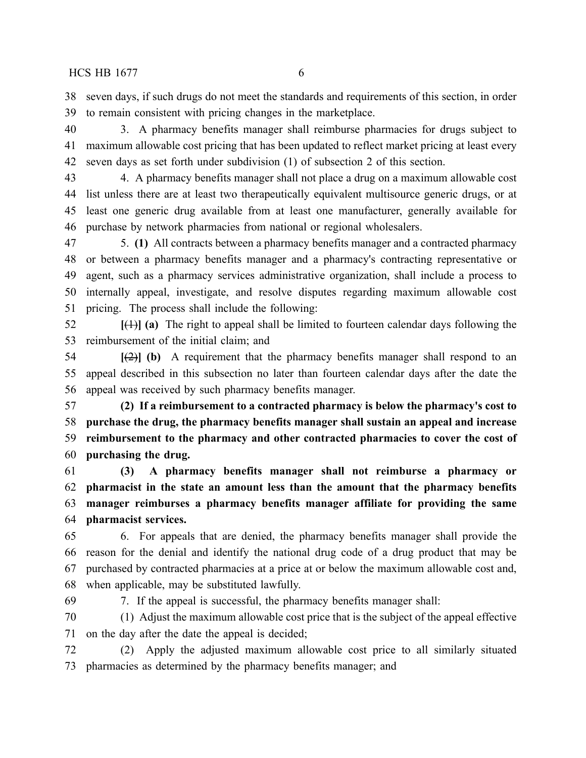seven days, if such drugs do not meet the standards and requirements of this section, in order to remain consistent with pricing changes in the marketplace.

 3. A pharmacy benefits manager shall reimburse pharmacies for drugs subject to maximum allowable cost pricing that has been updated to reflect market pricing at least every seven days as set forth under subdivision (1) of subsection 2 of this section.

 4. A pharmacy benefits manager shall not place a drug on a maximum allowable cost list unless there are at least two therapeutically equivalent multisource generic drugs, or at least one generic drug available from at least one manufacturer, generally available for purchase by network pharmacies from national or regional wholesalers.

 5. **(1)** All contracts between a pharmacy benefits manager and a contracted pharmacy or between a pharmacy benefits manager and a pharmacy's contracting representative or agent, such as a pharmacy services administrative organization, shall include a process to internally appeal, investigate, and resolve disputes regarding maximum allowable cost pricing. The process shall include the following:

 **[**(1)**] (a)** The right to appeal shall be limited to fourteen calendar days following the reimbursement of the initial claim; and

 **[**(2)**] (b)** A requirement that the pharmacy benefits manager shall respond to an appeal described in this subsection no later than fourteen calendar days after the date the appeal was received by such pharmacy benefits manager.

 **(2) If a reimbursement to a contracted pharmacy is below the pharmacy's cost to purchase the drug, the pharmacy benefits manager shall sustain an appeal and increase reimbursement to the pharmacy and other contracted pharmacies to cover the cost of purchasing the drug.**

 **(3) A pharmacy benefits manager shall not reimburse a pharmacy or pharmacist in the state an amount less than the amount that the pharmacy benefits manager reimburses a pharmacy benefits manager affiliate for providing the same pharmacist services.**

 6. For appeals that are denied, the pharmacy benefits manager shall provide the reason for the denial and identify the national drug code of a drug product that may be purchased by contracted pharmacies at a price at or below the maximum allowable cost and, when applicable, may be substituted lawfully.

7. If the appeal is successful, the pharmacy benefits manager shall:

 (1) Adjust the maximum allowable cost price that is the subject of the appeal effective on the day after the date the appeal is decided;

 (2) Apply the adjusted maximum allowable cost price to all similarly situated pharmacies as determined by the pharmacy benefits manager; and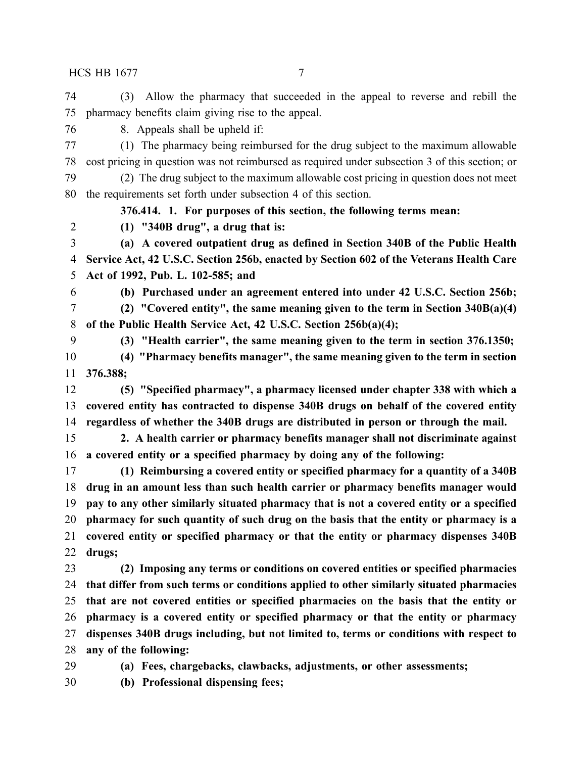(3) Allow the pharmacy that succeeded in the appeal to reverse and rebill the pharmacy benefits claim giving rise to the appeal.

8. Appeals shall be upheld if:

 (1) The pharmacy being reimbursed for the drug subject to the maximum allowable cost pricing in question was not reimbursed as required under subsection 3 of this section; or

 (2) The drug subject to the maximum allowable cost pricing in question does not meet the requirements set forth under subsection 4 of this section.

**376.414. 1. For purposes of this section, the following terms mean:**

**(1) "340B drug", a drug that is:**

 **(a) A covered outpatient drug as defined in Section 340B of the Public Health Service Act, 42 U.S.C. Section 256b, enacted by Section 602 of the Veterans Health Care Act of 1992, Pub. L. 102-585; and**

 **(b) Purchased under an agreement entered into under 42 U.S.C. Section 256b; (2) "Covered entity", the same meaning given to the term in Section 340B(a)(4)**

**of the Public Health Service Act, 42 U.S.C. Section 256b(a)(4);**

**(3) "Health carrier", the same meaning given to the term in section 376.1350;**

 **(4) "Pharmacy benefits manager", the same meaning given to the term in section 376.388;**

 **(5) "Specified pharmacy", a pharmacy licensed under chapter 338 with which a covered entity has contracted to dispense 340B drugs on behalf of the covered entity regardless of whether the 340B drugs are distributed in person or through the mail.**

 **2. A health carrier or pharmacy benefits manager shall not discriminate against a covered entity or a specified pharmacy by doing any of the following:**

 **(1) Reimbursing a covered entity or specified pharmacy for a quantity of a 340B drug in an amount less than such health carrier or pharmacy benefits manager would pay to any other similarly situated pharmacy that is not a covered entity or a specified pharmacy for such quantity of such drug on the basis that the entity or pharmacy is a covered entity or specified pharmacy or that the entity or pharmacy dispenses 340B drugs;**

 **(2) Imposing any terms or conditions on covered entities or specified pharmacies that differ from such terms or conditions applied to other similarly situated pharmacies that are not covered entities or specified pharmacies on the basis that the entity or pharmacy is a covered entity or specified pharmacy or that the entity or pharmacy dispenses 340B drugs including, but not limited to, terms or conditions with respect to any of the following:**

**(a) Fees, chargebacks, clawbacks, adjustments, or other assessments;**

**(b) Professional dispensing fees;**